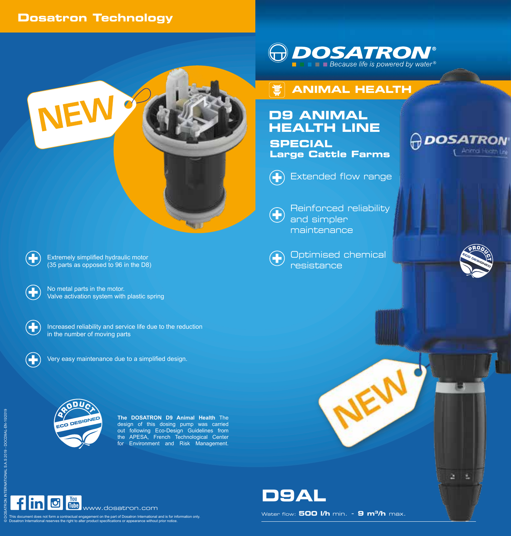## **Dosatron Technology**

NEW





# **D9 ANIMAL HEALTH LINE**

**SPECIAL Large Cattle Farms**



Extended flow range

 $\bigoplus$ 

Reinforced reliability and simpler maintenance



Optimised chemical resistance



Æ

**PDOSATRON** 

Animal Hostn Lis

+ Extremely simplified hydraulic motor (35 parts as opposed to 96 in the D8)

> No metal parts in the motor. Valve activation system with plastic spring

 $\left( \color{red}+ \right.$ 

 $\left( \color{red}{\mathbf{+}}\right)$ 

Increased reliability and service life due to the reduction in the number of moving parts



Very easy maintenance due to a simplified design.



**The DOSATRON D9 Animal Health** The design of this dosing pump was carried out following Eco-Design Guidelines from the APESA, French Technological Center for Environment and Risk Management.

**Agg** 





in **O** W <sub>www.dosatron.com</sub>

This document does not form a contractual engagement on the part of Dosatron International and is for information only.<br>Dosatron International reserves the right to alter product specifications or appearance without prior

Water flow: **500 l/h** min. - **9 m3/h** max.

**D9AL**